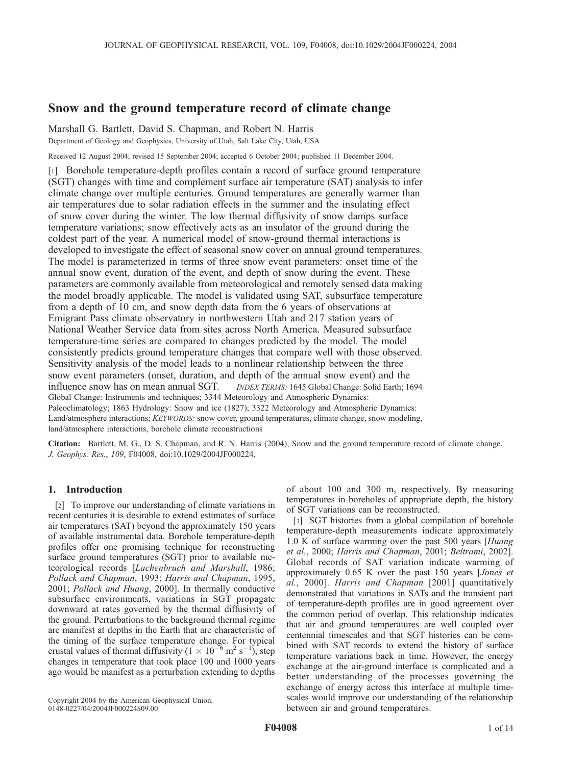# Snow and the ground temperature record of climate change

Marshall G. Bartlett, David S. Chapman, and Robert N. Harris Department of Geology and Geophysics, University of Utah, Salt Lake City, Utah, USA

Received 12 August 2004; revised 15 September 2004; accepted 6 October 2004; published 11 December 2004.

[1] Borehole temperature-depth profiles contain a record of surface ground temperature (SGT) changes with time and complement surface air temperature (SAT) analysis to infer climate change over multiple centuries. Ground temperatures are generally warmer than air temperatures due to solar radiation effects in the summer and the insulating effect of snow cover during the winter. The low thermal diffusivity of snow damps surface temperature variations; snow effectively acts as an insulator of the ground during the coldest part of the year. A numerical model of snow-ground thermal interactions is developed to investigate the effect of seasonal snow cover on annual ground temperatures. The model is parameterized in terms of three snow event parameters: onset time of the annual snow event, duration of the event, and depth of snow during the event. These parameters are commonly available from meteorological and remotely sensed data making the model broadly applicable. The model is validated using SAT, subsurface temperature from a depth of 10 cm, and snow depth data from the 6 years of observations at Emigrant Pass climate observatory in northwestern Utah and 217 station years of National Weather Service data from sites across North America. Measured subsurface temperature-time series are compared to changes predicted by the model. The model consistently predicts ground temperature changes that compare well with those observed. Sensitivity analysis of the model leads to a nonlinear relationship between the three snow event parameters (onset, duration, and depth of the annual snow event) and the influence snow has on mean annual SGT. INDEX TERMS: 1645 Global Change: Solid Earth; 1694 Global Change: Instruments and techniques; 3344 Meteorology and Atmospheric Dynamics: Paleoclimatology; 1863 Hydrology: Snow and ice (1827); 3322 Meteorology and Atmospheric Dynamics: Land/atmosphere interactions; KEYWORDS: snow cover, ground temperatures, climate change, snow modeling, land/atmosphere interactions, borehole climate reconstructions

Citation: Bartlett, M. G., D. S. Chapman, and R. N. Harris (2004), Snow and the ground temperature record of climate change, J. Geophys. Res., 109, F04008, doi:10.1029/2004JF000224.

# 1. Introduction

[2] To improve our understanding of climate variations in recent centuries it is desirable to extend estimates of surface air temperatures (SAT) beyond the approximately 150 years of available instrumental data. Borehole temperature-depth profiles offer one promising technique for reconstructing surface ground temperatures (SGT) prior to available meteorological records [Lachenbruch and Marshall, 1986; Pollack and Chapman, 1993; Harris and Chapman, 1995, 2001; Pollack and Huang, 2000]. In thermally conductive subsurface environments, variations in SGT propagate downward at rates governed by the thermal diffusivity of the ground. Perturbations to the background thermal regime are manifest at depths in the Earth that are characteristic of the timing of the surface temperature change. For typical crustal values of thermal diffusivity  $(1 \times 10^{-6} \text{ m}^2 \text{ s}^{-1})$ , step changes in temperature that took place 100 and 1000 years ago would be manifest as a perturbation extending to depths of about 100 and 300 m, respectively. By measuring temperatures in boreholes of appropriate depth, the history of SGT variations can be reconstructed.

[3] SGT histories from a global compilation of borehole temperature-depth measurements indicate approximately 1.0 K of surface warming over the past 500 years [Huang et al., 2000; Harris and Chapman, 2001; Beltrami, 2002]. Global records of SAT variation indicate warming of approximately 0.65 K over the past 150 years [Jones et al., 2000]. Harris and Chapman [2001] quantitatively demonstrated that variations in SATs and the transient part of temperature-depth profiles are in good agreement over the common period of overlap. This relationship indicates that air and ground temperatures are well coupled over centennial timescales and that SGT histories can be combined with SAT records to extend the history of surface temperature variations back in time. However, the energy exchange at the air-ground interface is complicated and a better understanding of the processes governing the exchange of energy across this interface at multiple timescales would improve our understanding of the relationship between air and ground temperatures.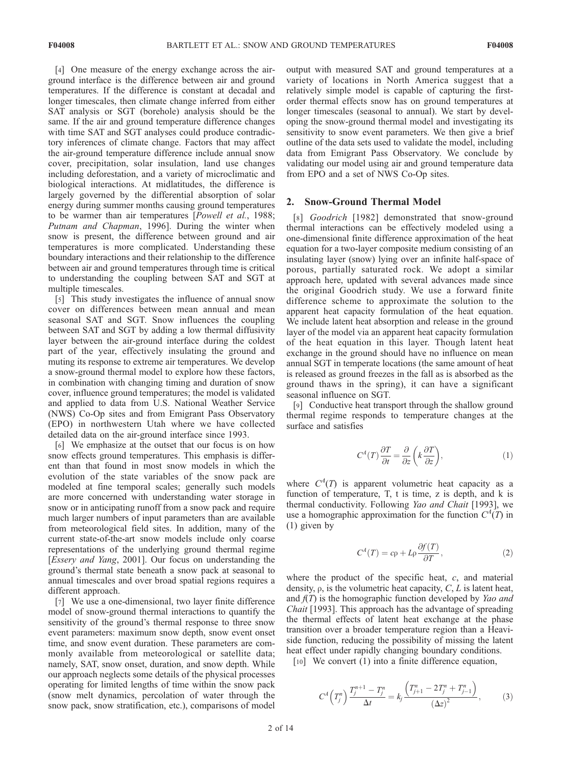[4] One measure of the energy exchange across the airground interface is the difference between air and ground temperatures. If the difference is constant at decadal and longer timescales, then climate change inferred from either SAT analysis or SGT (borehole) analysis should be the same. If the air and ground temperature difference changes with time SAT and SGT analyses could produce contradictory inferences of climate change. Factors that may affect the air-ground temperature difference include annual snow cover, precipitation, solar insulation, land use changes including deforestation, and a variety of microclimatic and biological interactions. At midlatitudes, the difference is largely governed by the differential absorption of solar energy during summer months causing ground temperatures to be warmer than air temperatures [Powell et al., 1988; Putnam and Chapman, 1996]. During the winter when snow is present, the difference between ground and air temperatures is more complicated. Understanding these boundary interactions and their relationship to the difference between air and ground temperatures through time is critical to understanding the coupling between SAT and SGT at multiple timescales.

[5] This study investigates the influence of annual snow cover on differences between mean annual and mean seasonal SAT and SGT. Snow influences the coupling between SAT and SGT by adding a low thermal diffusivity layer between the air-ground interface during the coldest part of the year, effectively insulating the ground and muting its response to extreme air temperatures. We develop a snow-ground thermal model to explore how these factors, in combination with changing timing and duration of snow cover, influence ground temperatures; the model is validated and applied to data from U.S. National Weather Service (NWS) Co-Op sites and from Emigrant Pass Observatory (EPO) in northwestern Utah where we have collected detailed data on the air-ground interface since 1993.

[6] We emphasize at the outset that our focus is on how snow effects ground temperatures. This emphasis is different than that found in most snow models in which the evolution of the state variables of the snow pack are modeled at fine temporal scales; generally such models are more concerned with understanding water storage in snow or in anticipating runoff from a snow pack and require much larger numbers of input parameters than are available from meteorological field sites. In addition, many of the current state-of-the-art snow models include only coarse representations of the underlying ground thermal regime [Essery and Yang, 2001]. Our focus on understanding the ground's thermal state beneath a snow pack at seasonal to annual timescales and over broad spatial regions requires a different approach.

[7] We use a one-dimensional, two layer finite difference model of snow-ground thermal interactions to quantify the sensitivity of the ground's thermal response to three snow event parameters: maximum snow depth, snow event onset time, and snow event duration. These parameters are commonly available from meteorological or satellite data; namely, SAT, snow onset, duration, and snow depth. While our approach neglects some details of the physical processes operating for limited lengths of time within the snow pack (snow melt dynamics, percolation of water through the snow pack, snow stratification, etc.), comparisons of model

output with measured SAT and ground temperatures at a variety of locations in North America suggest that a relatively simple model is capable of capturing the firstorder thermal effects snow has on ground temperatures at longer timescales (seasonal to annual). We start by developing the snow-ground thermal model and investigating its sensitivity to snow event parameters. We then give a brief outline of the data sets used to validate the model, including data from Emigrant Pass Observatory. We conclude by validating our model using air and ground temperature data from EPO and a set of NWS Co-Op sites.

## 2. Snow-Ground Thermal Model

[8] Goodrich [1982] demonstrated that snow-ground thermal interactions can be effectively modeled using a one-dimensional finite difference approximation of the heat equation for a two-layer composite medium consisting of an insulating layer (snow) lying over an infinite half-space of porous, partially saturated rock. We adopt a similar approach here, updated with several advances made since the original Goodrich study. We use a forward finite difference scheme to approximate the solution to the apparent heat capacity formulation of the heat equation. We include latent heat absorption and release in the ground layer of the model via an apparent heat capacity formulation of the heat equation in this layer. Though latent heat exchange in the ground should have no influence on mean annual SGT in temperate locations (the same amount of heat is released as ground freezes in the fall as is absorbed as the ground thaws in the spring), it can have a significant seasonal influence on SGT.

[9] Conductive heat transport through the shallow ground thermal regime responds to temperature changes at the surface and satisfies

$$
C^{4}(T)\frac{\partial T}{\partial t} = \frac{\partial}{\partial z}\left(k\frac{\partial T}{\partial z}\right),\tag{1}
$$

where  $C^4(T)$  is apparent volumetric heat capacity as a function of temperature, T, t is time, z is depth, and k is thermal conductivity. Following Yao and Chait [1993], we use a homographic approximation for the function  $C^4(T)$  in (1) given by

$$
C^{A}(T) = c\rho + L\rho \frac{\partial f(T)}{\partial T},
$$
\n(2)

where the product of the specific heat,  $c$ , and material density,  $\rho$ , is the volumetric heat capacity,  $C, L$  is latent heat, and  $f(T)$  is the homographic function developed by *Yao and* Chait [1993]. This approach has the advantage of spreading the thermal effects of latent heat exchange at the phase transition over a broader temperature region than a Heaviside function, reducing the possibility of missing the latent heat effect under rapidly changing boundary conditions.

[10] We convert (1) into a finite difference equation,

$$
C^{A}\left(T_{j}^{n}\right)\frac{T_{j}^{n+1}-T_{j}^{n}}{\Delta t}=k_{j}\frac{\left(T_{j+1}^{n}-2T_{j}^{n}+T_{j-1}^{n}\right)}{\left(\Delta z\right)^{2}},\qquad(3)
$$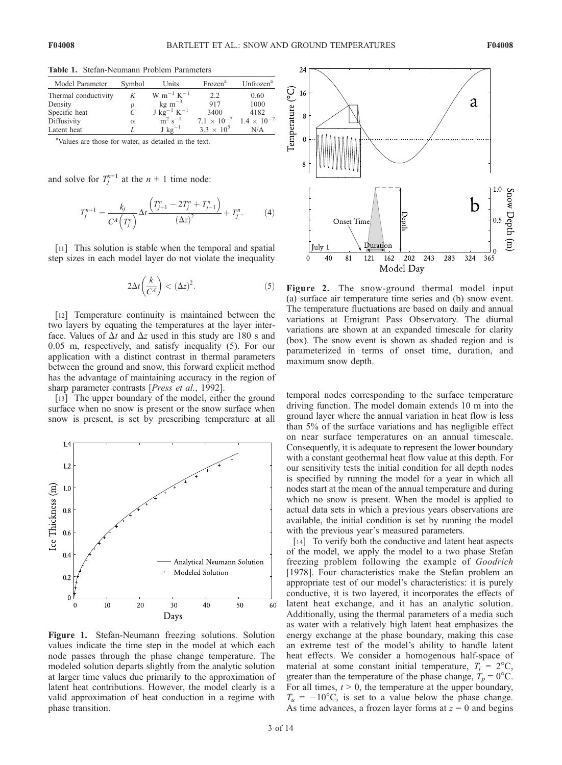| Model Parameter      | Symbol   | Units                                  | Frozen <sup>a</sup>  | Unfrozen <sup>a</sup> |
|----------------------|----------|----------------------------------------|----------------------|-----------------------|
| Thermal conductivity |          | $W m^{-1} K^{-1}$                      | 2.2                  | 0.60                  |
| Density              |          | $kg \, \text{m}^{-3}$                  | 917                  | 1000                  |
| Specific heat        |          | $J \, \text{kg}^{-1} \, \text{K}^{-1}$ | 3400                 | 4182                  |
| Diffusivity          | $\alpha$ | $m^2$ s <sup>-1</sup>                  | $7.1 \times 10^{-7}$ | $1.4 \times 10^{-7}$  |
| Latent heat          |          | $J kg^{-1}$                            | $3.3 \times 10^{5}$  | N/A                   |

Table 1. Stefan-Neumann Problem Parameters

a Values are those for water, as detailed in the text.

and solve for  $T_j^{n+1}$  at the  $n + 1$  time node:

$$
T_j^{n+1} = \frac{k_j}{C^A(T_j^n)} \Delta t \frac{\left(T_{j+1}^n - 2T_j^n + T_{j-1}^n\right)}{\left(\Delta z\right)^2} + T_j^n. \tag{4}
$$

[11] This solution is stable when the temporal and spatial step sizes in each model layer do not violate the inequality

$$
2\Delta t \left(\frac{k}{C^A}\right) < (\Delta z)^2. \tag{5}
$$

[12] Temperature continuity is maintained between the two layers by equating the temperatures at the layer interface. Values of  $\Delta t$  and  $\Delta z$  used in this study are 180 s and 0.05 m, respectively, and satisfy inequality (5). For our application with a distinct contrast in thermal parameters between the ground and snow, this forward explicit method has the advantage of maintaining accuracy in the region of sharp parameter contrasts [Press et al., 1992].

[13] The upper boundary of the model, either the ground surface when no snow is present or the snow surface when snow is present, is set by prescribing temperature at all



Figure 1. Stefan-Neumann freezing solutions. Solution values indicate the time step in the model at which each node passes through the phase change temperature. The modeled solution departs slightly from the analytic solution at larger time values due primarily to the approximation of latent heat contributions. However, the model clearly is a valid approximation of heat conduction in a regime with phase transition.



Figure 2. The snow-ground thermal model input (a) surface air temperature time series and (b) snow event. The temperature fluctuations are based on daily and annual variations at Emigrant Pass Observatory. The diurnal variations are shown at an expanded timescale for clarity (box). The snow event is shown as shaded region and is parameterized in terms of onset time, duration, and maximum snow depth.

temporal nodes corresponding to the surface temperature driving function. The model domain extends 10 m into the ground layer where the annual variation in heat flow is less than 5% of the surface variations and has negligible effect on near surface temperatures on an annual timescale. Consequently, it is adequate to represent the lower boundary with a constant geothermal heat flow value at this depth. For our sensitivity tests the initial condition for all depth nodes is specified by running the model for a year in which all nodes start at the mean of the annual temperature and during which no snow is present. When the model is applied to actual data sets in which a previous years observations are available, the initial condition is set by running the model with the previous year's measured parameters.

[14] To verify both the conductive and latent heat aspects of the model, we apply the model to a two phase Stefan freezing problem following the example of Goodrich [1978]. Four characteristics make the Stefan problem an appropriate test of our model's characteristics: it is purely conductive, it is two layered, it incorporates the effects of latent heat exchange, and it has an analytic solution. Additionally, using the thermal parameters of a media such as water with a relatively high latent heat emphasizes the energy exchange at the phase boundary, making this case an extreme test of the model's ability to handle latent heat effects. We consider a homogenous half-space of material at some constant initial temperature,  $T_i = 2^{\circ}C$ , greater than the temperature of the phase change,  $T_p = 0$ <sup>o</sup>C. For all times,  $t > 0$ , the temperature at the upper boundary,  $T_u = -10$ °C, is set to a value below the phase change. As time advances, a frozen layer forms at  $z = 0$  and begins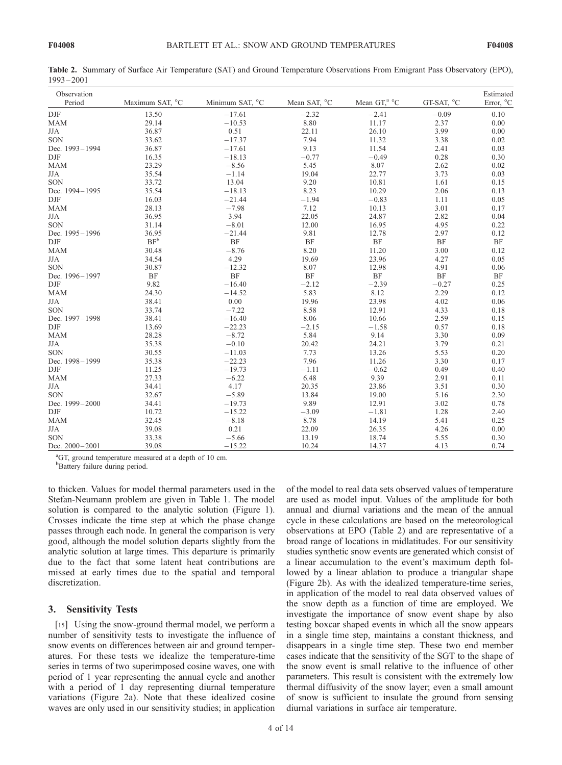Table 2. Summary of Surface Air Temperature (SAT) and Ground Temperature Observations From Emigrant Pass Observatory (EPO), 1993 – 2001

| Observation<br>Period | Maximum SAT, °C | Minimum SAT, °C | Mean SAT, °C | Mean GT, <sup>a</sup> °C | GT-SAT, °C | Estimated<br>Error, °C |
|-----------------------|-----------------|-----------------|--------------|--------------------------|------------|------------------------|
| <b>DJF</b>            | 13.50           | $-17.61$        | $-2.32$      | $-2.41$                  | $-0.09$    | 0.10                   |
| <b>MAM</b>            | 29.14           | $-10.53$        | 8.80         | 11.17                    | 2.37       | 0.00                   |
| <b>JJA</b>            | 36.87           | 0.51            | 22.11        | 26.10                    | 3.99       | 0.00                   |
| SON                   | 33.62           | $-17.37$        | 7.94         | 11.32                    | 3.38       | 0.02                   |
| Dec. 1993-1994        | 36.87           | $-17.61$        | 9.13         | 11.54                    | 2.41       | 0.03                   |
| DJF                   | 16.35           | $-18.13$        | $-0.77$      | $-0.49$                  | 0.28       | 0.30                   |
| <b>MAM</b>            | 23.29           | $-8.56$         | 5.45         | 8.07                     | 2.62       | 0.02                   |
| <b>JJA</b>            | 35.54           | $-1.14$         | 19.04        | 22.77                    | 3.73       | 0.03                   |
| SON                   | 33.72           | 13.04           | 9.20         | 10.81                    | 1.61       | 0.15                   |
| Dec. 1994-1995        | 35.54           | $-18.13$        | 8.23         | 10.29                    | 2.06       | 0.13                   |
| DJF                   | 16.03           | $-21.44$        | $-1.94$      | $-0.83$                  | 1.11       | 0.05                   |
| <b>MAM</b>            | 28.13           | $-7.98$         | 7.12         | 10.13                    | 3.01       | 0.17                   |
| <b>JJA</b>            | 36.95           | 3.94            | 22.05        | 24.87                    | 2.82       | 0.04                   |
| SON                   | 31.14           | $-8.01$         | 12.00        | 16.95                    | 4.95       | 0.22                   |
| Dec. 1995-1996        | 36.95           | $-21.44$        | 9.81         | 12.78                    | 2.97       | 0.12                   |
| DJF                   | $BF^b$          | BF              | BF           | BF                       | BF         | BF                     |
| <b>MAM</b>            | 30.48           | $-8.76$         | 8.20         | 11.20                    | 3.00       | 0.12                   |
| <b>JJA</b>            | 34.54           | 4.29            | 19.69        | 23.96                    | 4.27       | 0.05                   |
| SON                   | 30.87           | $-12.32$        | 8.07         | 12.98                    | 4.91       | 0.06                   |
| Dec. 1996-1997        | $\rm{BF}$       | $\rm{BF}$       | <b>BF</b>    | <b>BF</b>                | $\rm{BF}$  | <b>BF</b>              |
| DJF                   | 9.82            | $-16.40$        | $-2.12$      | $-2.39$                  | $-0.27$    | 0.25                   |
| <b>MAM</b>            | 24.30           | $-14.52$        | 5.83         | 8.12                     | 2.29       | 0.12                   |
| <b>JJA</b>            | 38.41           | 0.00            | 19.96        | 23.98                    | 4.02       | 0.06                   |
| SON                   | 33.74           | $-7.22$         | 8.58         | 12.91                    | 4.33       | 0.18                   |
| Dec. 1997-1998        | 38.41           | $-16.40$        | 8.06         | 10.66                    | 2.59       | 0.15                   |
| <b>DJF</b>            | 13.69           | $-22.23$        | $-2.15$      | $-1.58$                  | 0.57       | 0.18                   |
| <b>MAM</b>            | 28.28           | $-8.72$         | 5.84         | 9.14                     | 3.30       | 0.09                   |
| <b>JJA</b>            | 35.38           | $-0.10$         | 20.42        | 24.21                    | 3.79       | 0.21                   |
| SON                   | 30.55           | $-11.03$        | 7.73         | 13.26                    | 5.53       | 0.20                   |
| Dec. 1998-1999        | 35.38           | $-22.23$        | 7.96         | 11.26                    | 3.30       | 0.17                   |
| DJF                   | 11.25           | $-19.73$        | $-1.11$      | $-0.62$                  | 0.49       | 0.40                   |
| <b>MAM</b>            | 27.33           | $-6.22$         | 6.48         | 9.39                     | 2.91       | 0.11                   |
| <b>JJA</b>            | 34.41           | 4.17            | 20.35        | 23.86                    | 3.51       | 0.30                   |
| SON                   | 32.67           | $-5.89$         | 13.84        | 19.00                    | 5.16       | 2.30                   |
| Dec. 1999-2000        | 34.41           | $-19.73$        | 9.89         | 12.91                    | 3.02       | 0.78                   |
| <b>DJF</b>            | 10.72           | $-15.22$        | $-3.09$      | $-1.81$                  | 1.28       | 2.40                   |
| <b>MAM</b>            | 32.45           | $-8.18$         | 8.78         | 14.19                    | 5.41       | 0.25                   |
| <b>JJA</b>            | 39.08           | 0.21            | 22.09        | 26.35                    | 4.26       | 0.00                   |
| SON                   | 33.38           | $-5.66$         | 13.19        | 18.74                    | 5.55       | 0.30                   |
| Dec. 2000-2001        | 39.08           | $-15.22$        | 10.24        | 14.37                    | 4.13       | 0.74                   |

<sup>a</sup>GT, ground temperature measured at a depth of 10 cm.

b Battery failure during period.

to thicken. Values for model thermal parameters used in the Stefan-Neumann problem are given in Table 1. The model solution is compared to the analytic solution (Figure 1). Crosses indicate the time step at which the phase change passes through each node. In general the comparison is very good, although the model solution departs slightly from the analytic solution at large times. This departure is primarily due to the fact that some latent heat contributions are missed at early times due to the spatial and temporal discretization.

## 3. Sensitivity Tests

[15] Using the snow-ground thermal model, we perform a number of sensitivity tests to investigate the influence of snow events on differences between air and ground temperatures. For these tests we idealize the temperature-time series in terms of two superimposed cosine waves, one with period of 1 year representing the annual cycle and another with a period of 1 day representing diurnal temperature variations (Figure 2a). Note that these idealized cosine waves are only used in our sensitivity studies; in application

of the model to real data sets observed values of temperature are used as model input. Values of the amplitude for both annual and diurnal variations and the mean of the annual cycle in these calculations are based on the meteorological observations at EPO (Table 2) and are representative of a broad range of locations in midlatitudes. For our sensitivity studies synthetic snow events are generated which consist of a linear accumulation to the event's maximum depth followed by a linear ablation to produce a triangular shape (Figure 2b). As with the idealized temperature-time series, in application of the model to real data observed values of the snow depth as a function of time are employed. We investigate the importance of snow event shape by also testing boxcar shaped events in which all the snow appears in a single time step, maintains a constant thickness, and disappears in a single time step. These two end member cases indicate that the sensitivity of the SGT to the shape of the snow event is small relative to the influence of other parameters. This result is consistent with the extremely low thermal diffusivity of the snow layer; even a small amount of snow is sufficient to insulate the ground from sensing diurnal variations in surface air temperature.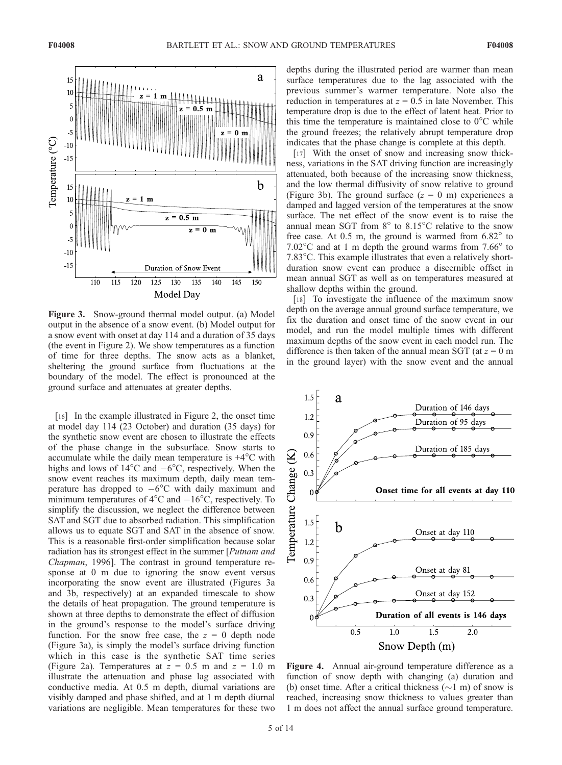

Figure 3. Snow-ground thermal model output. (a) Model output in the absence of a snow event. (b) Model output for a snow event with onset at day 114 and a duration of 35 days (the event in Figure 2). We show temperatures as a function of time for three depths. The snow acts as a blanket, sheltering the ground surface from fluctuations at the boundary of the model. The effect is pronounced at the ground surface and attenuates at greater depths.

[16] In the example illustrated in Figure 2, the onset time at model day 114 (23 October) and duration (35 days) for the synthetic snow event are chosen to illustrate the effects of the phase change in the subsurface. Snow starts to accumulate while the daily mean temperature is  $+4^{\circ}$ C with highs and lows of  $14^{\circ}$ C and  $-6^{\circ}$ C, respectively. When the snow event reaches its maximum depth, daily mean temperature has dropped to  $-6^{\circ}$ C with daily maximum and minimum temperatures of  $4^{\circ}$ C and  $-16^{\circ}$ C, respectively. To simplify the discussion, we neglect the difference between SAT and SGT due to absorbed radiation. This simplification allows us to equate SGT and SAT in the absence of snow. This is a reasonable first-order simplification because solar radiation has its strongest effect in the summer [Putnam and Chapman, 1996]. The contrast in ground temperature response at 0 m due to ignoring the snow event versus incorporating the snow event are illustrated (Figures 3a and 3b, respectively) at an expanded timescale to show the details of heat propagation. The ground temperature is shown at three depths to demonstrate the effect of diffusion in the ground's response to the model's surface driving function. For the snow free case, the  $z = 0$  depth node (Figure 3a), is simply the model's surface driving function which in this case is the synthetic SAT time series (Figure 2a). Temperatures at  $z = 0.5$  m and  $z = 1.0$  m illustrate the attenuation and phase lag associated with conductive media. At 0.5 m depth, diurnal variations are visibly damped and phase shifted, and at 1 m depth diurnal variations are negligible. Mean temperatures for these two

depths during the illustrated period are warmer than mean surface temperatures due to the lag associated with the previous summer's warmer temperature. Note also the reduction in temperatures at  $z = 0.5$  in late November. This temperature drop is due to the effect of latent heat. Prior to this time the temperature is maintained close to  $0^{\circ}$ C while the ground freezes; the relatively abrupt temperature drop indicates that the phase change is complete at this depth.

[17] With the onset of snow and increasing snow thickness, variations in the SAT driving function are increasingly attenuated, both because of the increasing snow thickness, and the low thermal diffusivity of snow relative to ground (Figure 3b). The ground surface  $(z = 0$  m) experiences a damped and lagged version of the temperatures at the snow surface. The net effect of the snow event is to raise the annual mean SGT from  $8^{\circ}$  to  $8.15^{\circ}$ C relative to the snow free case. At  $0.5$  m, the ground is warmed from  $6.82^{\circ}$  to  $7.02^{\circ}$ C and at 1 m depth the ground warms from  $7.66^{\circ}$  to 7.83°C. This example illustrates that even a relatively shortduration snow event can produce a discernible offset in mean annual SGT as well as on temperatures measured at shallow depths within the ground.

[18] To investigate the influence of the maximum snow depth on the average annual ground surface temperature, we fix the duration and onset time of the snow event in our model, and run the model multiple times with different maximum depths of the snow event in each model run. The difference is then taken of the annual mean SGT (at  $z = 0$  m in the ground layer) with the snow event and the annual



Figure 4. Annual air-ground temperature difference as a function of snow depth with changing (a) duration and (b) onset time. After a critical thickness ( $\sim$ 1 m) of snow is reached, increasing snow thickness to values greater than 1 m does not affect the annual surface ground temperature.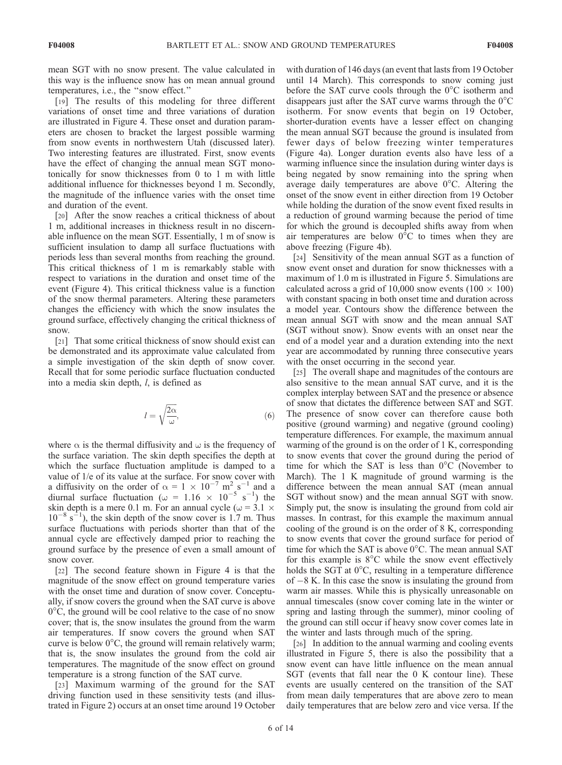mean SGT with no snow present. The value calculated in this way is the influence snow has on mean annual ground temperatures, i.e., the ''snow effect.''

[19] The results of this modeling for three different variations of onset time and three variations of duration are illustrated in Figure 4. These onset and duration parameters are chosen to bracket the largest possible warming from snow events in northwestern Utah (discussed later). Two interesting features are illustrated. First, snow events have the effect of changing the annual mean SGT monotonically for snow thicknesses from 0 to 1 m with little additional influence for thicknesses beyond 1 m. Secondly, the magnitude of the influence varies with the onset time and duration of the event.

[20] After the snow reaches a critical thickness of about 1 m, additional increases in thickness result in no discernable influence on the mean SGT. Essentially, 1 m of snow is sufficient insulation to damp all surface fluctuations with periods less than several months from reaching the ground. This critical thickness of 1 m is remarkably stable with respect to variations in the duration and onset time of the event (Figure 4). This critical thickness value is a function of the snow thermal parameters. Altering these parameters changes the efficiency with which the snow insulates the ground surface, effectively changing the critical thickness of snow.

[21] That some critical thickness of snow should exist can be demonstrated and its approximate value calculated from a simple investigation of the skin depth of snow cover. Recall that for some periodic surface fluctuation conducted into a media skin depth,  $l$ , is defined as

$$
l = \sqrt{\frac{2\alpha}{\omega}},\tag{6}
$$

where  $\alpha$  is the thermal diffusivity and  $\omega$  is the frequency of the surface variation. The skin depth specifies the depth at which the surface fluctuation amplitude is damped to a value of 1/e of its value at the surface. For snow cover with a diffusivity on the order of  $\alpha = 1 \times 10^{-7}$  m<sup>2</sup> s<sup>-1</sup> and a diurnal surface fluctuation ( $\omega = 1.16 \times 10^{-5} \text{ s}^{-1}$ ) the skin depth is a mere 0.1 m. For an annual cycle ( $\omega = 3.1 \times$  $10^{-8}$  s<sup> $-1$ </sup>), the skin depth of the snow cover is 1.7 m. Thus surface fluctuations with periods shorter than that of the annual cycle are effectively damped prior to reaching the ground surface by the presence of even a small amount of snow cover.

[22] The second feature shown in Figure 4 is that the magnitude of the snow effect on ground temperature varies with the onset time and duration of snow cover. Conceptually, if snow covers the ground when the SAT curve is above 0°C, the ground will be cool relative to the case of no snow cover; that is, the snow insulates the ground from the warm air temperatures. If snow covers the ground when SAT curve is below  $0^{\circ}$ C, the ground will remain relatively warm; that is, the snow insulates the ground from the cold air temperatures. The magnitude of the snow effect on ground temperature is a strong function of the SAT curve.

[23] Maximum warming of the ground for the SAT driving function used in these sensitivity tests (and illustrated in Figure 2) occurs at an onset time around 19 October

with duration of 146 days (an event that lasts from 19 October until 14 March). This corresponds to snow coming just before the SAT curve cools through the  $0^{\circ}$ C isotherm and disappears just after the SAT curve warms through the  $0^{\circ}$ C isotherm. For snow events that begin on 19 October, shorter-duration events have a lesser effect on changing the mean annual SGT because the ground is insulated from fewer days of below freezing winter temperatures (Figure 4a). Longer duration events also have less of a warming influence since the insulation during winter days is being negated by snow remaining into the spring when average daily temperatures are above  $0^{\circ}$ C. Altering the onset of the snow event in either direction from 19 October while holding the duration of the snow event fixed results in a reduction of ground warming because the period of time for which the ground is decoupled shifts away from when air temperatures are below  $0^{\circ}$ C to times when they are above freezing (Figure 4b).

[24] Sensitivity of the mean annual SGT as a function of snow event onset and duration for snow thicknesses with a maximum of 1.0 m is illustrated in Figure 5. Simulations are calculated across a grid of 10,000 snow events (100  $\times$  100) with constant spacing in both onset time and duration across a model year. Contours show the difference between the mean annual SGT with snow and the mean annual SAT (SGT without snow). Snow events with an onset near the end of a model year and a duration extending into the next year are accommodated by running three consecutive years with the onset occurring in the second year.

[25] The overall shape and magnitudes of the contours are also sensitive to the mean annual SAT curve, and it is the complex interplay between SAT and the presence or absence of snow that dictates the difference between SAT and SGT. The presence of snow cover can therefore cause both positive (ground warming) and negative (ground cooling) temperature differences. For example, the maximum annual warming of the ground is on the order of 1 K, corresponding to snow events that cover the ground during the period of time for which the SAT is less than  $0^{\circ}$ C (November to March). The 1 K magnitude of ground warming is the difference between the mean annual SAT (mean annual SGT without snow) and the mean annual SGT with snow. Simply put, the snow is insulating the ground from cold air masses. In contrast, for this example the maximum annual cooling of the ground is on the order of 8 K, corresponding to snow events that cover the ground surface for period of time for which the SAT is above  $0^{\circ}$ C. The mean annual SAT for this example is  $8^{\circ}$ C while the snow event effectively holds the SGT at  $0^{\circ}$ C, resulting in a temperature difference of -8 K. In this case the snow is insulating the ground from warm air masses. While this is physically unreasonable on annual timescales (snow cover coming late in the winter or spring and lasting through the summer), minor cooling of the ground can still occur if heavy snow cover comes late in the winter and lasts through much of the spring.

[26] In addition to the annual warming and cooling events illustrated in Figure 5, there is also the possibility that a snow event can have little influence on the mean annual SGT (events that fall near the 0 K contour line). These events are usually centered on the transition of the SAT from mean daily temperatures that are above zero to mean daily temperatures that are below zero and vice versa. If the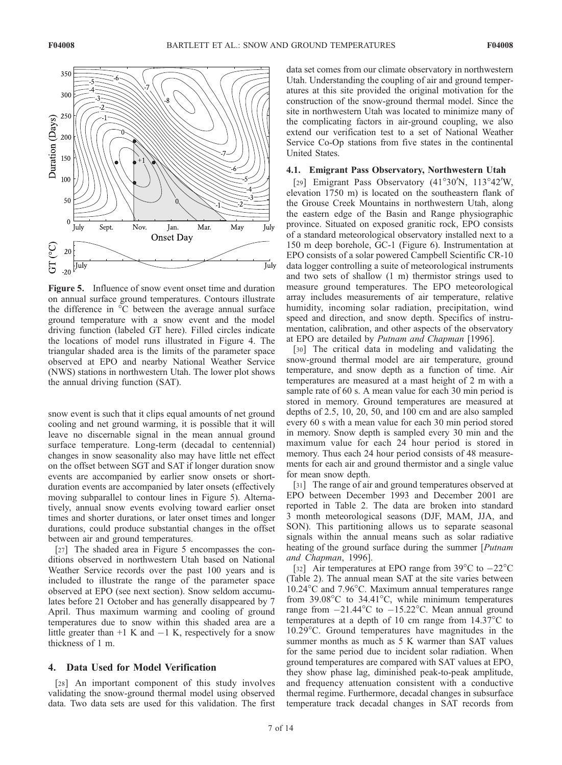

Figure 5. Influence of snow event onset time and duration on annual surface ground temperatures. Contours illustrate the difference in  $\mathrm{^{\circ}C}$  between the average annual surface ground temperature with a snow event and the model driving function (labeled GT here). Filled circles indicate the locations of model runs illustrated in Figure 4. The triangular shaded area is the limits of the parameter space observed at EPO and nearby National Weather Service (NWS) stations in northwestern Utah. The lower plot shows the annual driving function (SAT).

snow event is such that it clips equal amounts of net ground cooling and net ground warming, it is possible that it will leave no discernable signal in the mean annual ground surface temperature. Long-term (decadal to centennial) changes in snow seasonality also may have little net effect on the offset between SGT and SAT if longer duration snow events are accompanied by earlier snow onsets or shortduration events are accompanied by later onsets (effectively moving subparallel to contour lines in Figure 5). Alternatively, annual snow events evolving toward earlier onset times and shorter durations, or later onset times and longer durations, could produce substantial changes in the offset between air and ground temperatures.

[27] The shaded area in Figure 5 encompasses the conditions observed in northwestern Utah based on National Weather Service records over the past 100 years and is included to illustrate the range of the parameter space observed at EPO (see next section). Snow seldom accumulates before 21 October and has generally disappeared by 7 April. Thus maximum warming and cooling of ground temperatures due to snow within this shaded area are a little greater than  $+1$  K and  $-1$  K, respectively for a snow thickness of 1 m.

#### 4. Data Used for Model Verification

[28] An important component of this study involves validating the snow-ground thermal model using observed data. Two data sets are used for this validation. The first data set comes from our climate observatory in northwestern Utah. Understanding the coupling of air and ground temperatures at this site provided the original motivation for the construction of the snow-ground thermal model. Since the site in northwestern Utah was located to minimize many of the complicating factors in air-ground coupling, we also extend our verification test to a set of National Weather Service Co-Op stations from five states in the continental United States.

## 4.1. Emigrant Pass Observatory, Northwestern Utah

[29] Emigrant Pass Observatory (41°30'N, 113°42'W, elevation 1750 m) is located on the southeastern flank of the Grouse Creek Mountains in northwestern Utah, along the eastern edge of the Basin and Range physiographic province. Situated on exposed granitic rock, EPO consists of a standard meteorological observatory installed next to a 150 m deep borehole, GC-1 (Figure 6). Instrumentation at EPO consists of a solar powered Campbell Scientific CR-10 data logger controlling a suite of meteorological instruments and two sets of shallow (1 m) thermistor strings used to measure ground temperatures. The EPO meteorological array includes measurements of air temperature, relative humidity, incoming solar radiation, precipitation, wind speed and direction, and snow depth. Specifics of instrumentation, calibration, and other aspects of the observatory at EPO are detailed by Putnam and Chapman [1996].

[30] The critical data in modeling and validating the snow-ground thermal model are air temperature, ground temperature, and snow depth as a function of time. Air temperatures are measured at a mast height of 2 m with a sample rate of 60 s. A mean value for each 30 min period is stored in memory. Ground temperatures are measured at depths of 2.5, 10, 20, 50, and 100 cm and are also sampled every 60 s with a mean value for each 30 min period stored in memory. Snow depth is sampled every 30 min and the maximum value for each 24 hour period is stored in memory. Thus each 24 hour period consists of 48 measurements for each air and ground thermistor and a single value for mean snow depth.

[31] The range of air and ground temperatures observed at EPO between December 1993 and December 2001 are reported in Table 2. The data are broken into standard 3 month meteorological seasons (DJF, MAM, JJA, and SON). This partitioning allows us to separate seasonal signals within the annual means such as solar radiative heating of the ground surface during the summer [*Putnam* and Chapman, 1996].

[32] Air temperatures at EPO range from  $39^{\circ}$ C to  $-22^{\circ}$ C (Table 2). The annual mean SAT at the site varies between 10.24 °C and 7.96 °C. Maximum annual temperatures range from  $39.08^{\circ}$ C to  $34.41^{\circ}$ C, while minimum temperatures range from  $-21.44^{\circ}\text{C}$  to  $-15.22^{\circ}\text{C}$ . Mean annual ground temperatures at a depth of 10 cm range from  $14.37^{\circ}$ C to 10.29°C. Ground temperatures have magnitudes in the summer months as much as 5 K warmer than SAT values for the same period due to incident solar radiation. When ground temperatures are compared with SAT values at EPO, they show phase lag, diminished peak-to-peak amplitude, and frequency attenuation consistent with a conductive thermal regime. Furthermore, decadal changes in subsurface temperature track decadal changes in SAT records from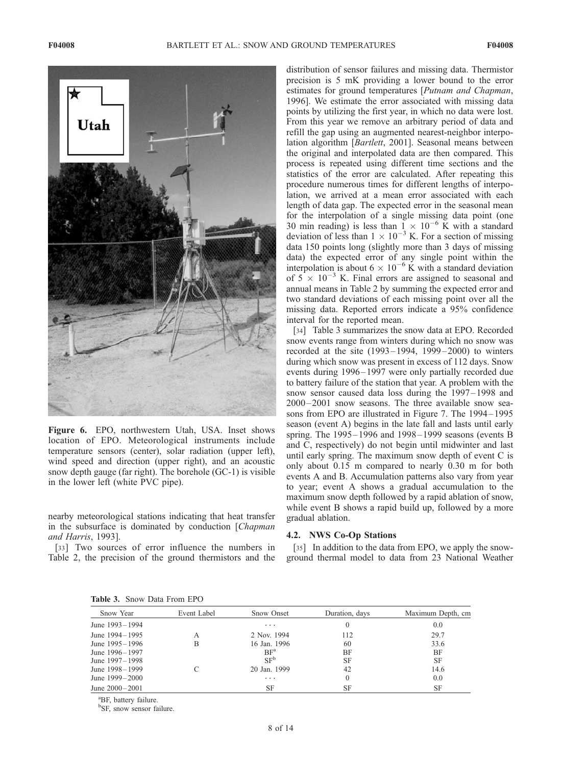

Figure 6. EPO, northwestern Utah, USA. Inset shows location of EPO. Meteorological instruments include temperature sensors (center), solar radiation (upper left), wind speed and direction (upper right), and an acoustic snow depth gauge (far right). The borehole (GC-1) is visible in the lower left (white PVC pipe).

nearby meteorological stations indicating that heat transfer in the subsurface is dominated by conduction [Chapman and Harris, 1993].

[33] Two sources of error influence the numbers in Table 2, the precision of the ground thermistors and the

distribution of sensor failures and missing data. Thermistor precision is 5 mK providing a lower bound to the error estimates for ground temperatures [Putnam and Chapman, 1996]. We estimate the error associated with missing data points by utilizing the first year, in which no data were lost. From this year we remove an arbitrary period of data and refill the gap using an augmented nearest-neighbor interpolation algorithm [Bartlett, 2001]. Seasonal means between the original and interpolated data are then compared. This process is repeated using different time sections and the statistics of the error are calculated. After repeating this procedure numerous times for different lengths of interpolation, we arrived at a mean error associated with each length of data gap. The expected error in the seasonal mean for the interpolation of a single missing data point (one 30 min reading) is less than  $1 \times 10^{-6}$  K with a standard deviation of less than  $1 \times 10^{-3}$  K. For a section of missing data 150 points long (slightly more than 3 days of missing data) the expected error of any single point within the interpolation is about  $6 \times 10^{-6}$  K with a standard deviation of  $5 \times 10^{-3}$  K. Final errors are assigned to seasonal and annual means in Table 2 by summing the expected error and two standard deviations of each missing point over all the missing data. Reported errors indicate a 95% confidence interval for the reported mean.

[34] Table 3 summarizes the snow data at EPO. Recorded snow events range from winters during which no snow was recorded at the site (1993 – 1994, 1999 – 2000) to winters during which snow was present in excess of 112 days. Snow events during 1996–1997 were only partially recorded due to battery failure of the station that year. A problem with the snow sensor caused data loss during the 1997–1998 and 2000– 2001 snow seasons. The three available snow seasons from EPO are illustrated in Figure 7. The 1994–1995 season (event A) begins in the late fall and lasts until early spring. The  $1995 - 1996$  and  $1998 - 1999$  seasons (events B) and C, respectively) do not begin until midwinter and last until early spring. The maximum snow depth of event C is only about 0.15 m compared to nearly 0.30 m for both events A and B. Accumulation patterns also vary from year to year; event A shows a gradual accumulation to the maximum snow depth followed by a rapid ablation of snow, while event B shows a rapid build up, followed by a more gradual ablation.

## 4.2. NWS Co-Op Stations

[35] In addition to the data from EPO, we apply the snowground thermal model to data from 23 National Weather

| Snow Year          | Event Label | Snow Onset      | Duration, days | Maximum Depth, cm |
|--------------------|-------------|-----------------|----------------|-------------------|
| June 1993 – 1994   |             | $\cdots$        | 0              | 0.0               |
| June 1994–1995     | А           | 2 Nov. 1994     | 112            | 29.7              |
| June $1995 - 1996$ | В           | 16 Jan. 1996    | 60             | 33.6              |
| June 1996–1997     |             | BF <sup>a</sup> | <b>BF</b>      | BF                |
| June 1997–1998     |             | SF <sup>b</sup> | <b>SF</b>      | <b>SF</b>         |
| June 1998–1999     |             | 20 Jan. 1999    | 42             | 14.6              |
| June $1999 - 2000$ |             | $\cdots$        | 0              | 0.0               |
| June $2000 - 2001$ |             | <b>SF</b>       | <b>SF</b>      | <b>SF</b>         |

Table 3. Snow Data From EPO

a BF, battery failure.

<sup>b</sup>SF, snow sensor failure.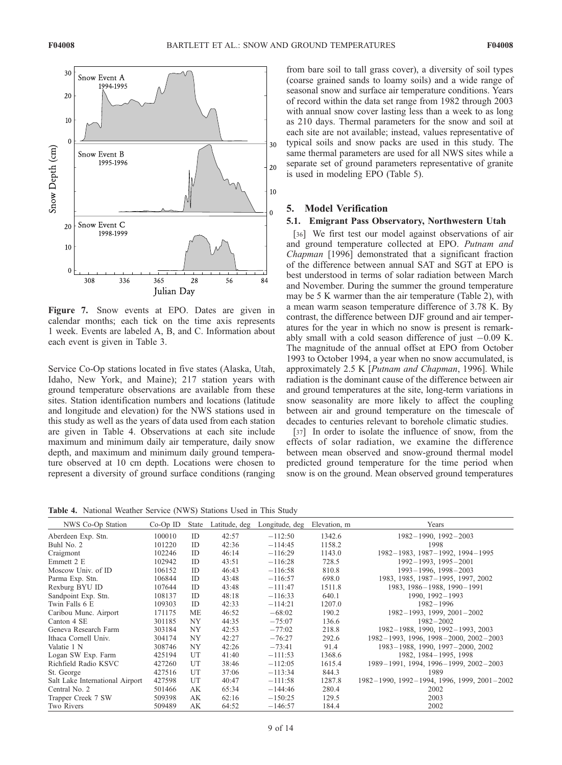

Figure 7. Snow events at EPO. Dates are given in calendar months; each tick on the time axis represents 1 week. Events are labeled A, B, and C. Information about each event is given in Table 3.

Service Co-Op stations located in five states (Alaska, Utah, Idaho, New York, and Maine); 217 station years with ground temperature observations are available from these sites. Station identification numbers and locations (latitude and longitude and elevation) for the NWS stations used in this study as well as the years of data used from each station are given in Table 4. Observations at each site include maximum and minimum daily air temperature, daily snow depth, and maximum and minimum daily ground temperature observed at 10 cm depth. Locations were chosen to represent a diversity of ground surface conditions (ranging

from bare soil to tall grass cover), a diversity of soil types (coarse grained sands to loamy soils) and a wide range of seasonal snow and surface air temperature conditions. Years of record within the data set range from 1982 through 2003 with annual snow cover lasting less than a week to as long as 210 days. Thermal parameters for the snow and soil at each site are not available; instead, values representative of typical soils and snow packs are used in this study. The same thermal parameters are used for all NWS sites while a separate set of ground parameters representative of granite is used in modeling EPO (Table 5).

## 5. Model Verification

#### 5.1. Emigrant Pass Observatory, Northwestern Utah

[36] We first test our model against observations of air and ground temperature collected at EPO. Putnam and Chapman [1996] demonstrated that a significant fraction of the difference between annual SAT and SGT at EPO is best understood in terms of solar radiation between March and November. During the summer the ground temperature may be 5 K warmer than the air temperature (Table 2), with a mean warm season temperature difference of 3.78 K. By contrast, the difference between DJF ground and air temperatures for the year in which no snow is present is remarkably small with a cold season difference of just  $-0.09$  K. The magnitude of the annual offset at EPO from October 1993 to October 1994, a year when no snow accumulated, is approximately 2.5 K [Putnam and Chapman, 1996]. While radiation is the dominant cause of the difference between air and ground temperatures at the site, long-term variations in snow seasonality are more likely to affect the coupling between air and ground temperature on the timescale of decades to centuries relevant to borehole climatic studies.

[37] In order to isolate the influence of snow, from the effects of solar radiation, we examine the difference between mean observed and snow-ground thermal model predicted ground temperature for the time period when snow is on the ground. Mean observed ground temperatures

Table 4. National Weather Service (NWS) Stations Used in This Study

| NWS Co-Op Station               | $Co-Op$ ID | State     | Latitude, deg | Longitude, deg | Elevation, m | Years                                       |
|---------------------------------|------------|-----------|---------------|----------------|--------------|---------------------------------------------|
| Aberdeen Exp. Stn.              | 100010     | ID        | 42:57         | $-112:50$      | 1342.6       | $1982 - 1990$ , $1992 - 2003$               |
| Buhl No. 2                      | 101220     | ID        | 42:36         | $-114:45$      | 1158.2       | 1998                                        |
| Craigmont                       | 102246     | ID        | 46:14         | $-116:29$      | 1143.0       | 1982-1983, 1987-1992, 1994-1995             |
| Emmett 2 E                      | 102942     | ID        | 43:51         | $-116:28$      | 728.5        | $1992 - 1993$ , $1995 - 2001$               |
| Moscow Univ. of ID              | 106152     | ID        | 46:43         | $-116:58$      | 810.8        | 1993-1996, 1998-2003                        |
| Parma Exp. Stn.                 | 106844     | ID        | 43:48         | $-116:57$      | 698.0        | 1983, 1985, 1987-1995, 1997, 2002           |
| Rexburg BYU ID                  | 107644     | ID        | 43:48         | $-111:47$      | 1511.8       | 1983, 1986-1988, 1990-1991                  |
| Sandpoint Exp. Stn.             | 108137     | ID        | 48:18         | $-116:33$      | 640.1        | 1990, 1992-1993                             |
| Twin Falls 6 E                  | 109303     | ID        | 42:33         | $-114:21$      | 1207.0       | $1982 - 1996$                               |
| Caribou Munc. Airport           | 171175     | ME        | 46:52         | $-68:02$       | 190.2        | $1982 - 1993$ , 1999, 2001 - 2002           |
| Canton 4 SE                     | 301185     | <b>NY</b> | 44:35         | $-75:07$       | 136.6        | $1982 - 2002$                               |
| Geneva Research Farm            | 303184     | <b>NY</b> | 42:53         | $-77:02$       | 218.8        | 1982-1988, 1990, 1992-1993, 2003            |
| Ithaca Cornell Univ.            | 304174     | <b>NY</b> | 42:27         | $-76:27$       | 292.6        | 1982-1993, 1996, 1998-2000, 2002-2003       |
| Valatie 1 N                     | 308746     | <b>NY</b> | 42:26         | $-73:41$       | 91.4         | 1983-1988, 1990, 1997-2000, 2002            |
| Logan SW Exp. Farm              | 425194     | UT        | 41:40         | $-111:53$      | 1368.6       | 1982, 1984-1995, 1998                       |
| Richfield Radio KSVC            | 427260     | UT        | 38:46         | $-112:05$      | 1615.4       | 1989-1991, 1994, 1996-1999, 2002-2003       |
| St. George                      | 427516     | UT        | 37:06         | $-113:34$      | 844.3        | 1989                                        |
| Salt Lake International Airport | 427598     | UT        | 40:47         | $-111:58$      | 1287.8       | 1982-1990, 1992-1994, 1996, 1999, 2001-2002 |
| Central No. 2                   | 501466     | AK        | 65:34         | $-144:46$      | 280.4        | 2002                                        |
| Trapper Creek 7 SW              | 509398     | AK        | 62:16         | $-150:25$      | 129.5        | 2003                                        |
| Two Rivers                      | 509489     | AK        | 64:52         | $-146:57$      | 184.4        | 2002                                        |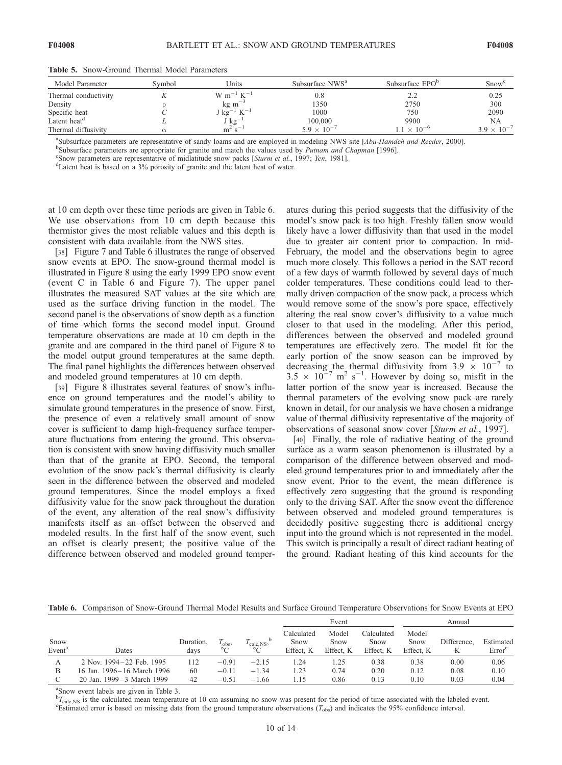| Model Parameter          | Svmbol | Units                               | Subsurface NWS <sup>a</sup> | Subsurface EPO <sup>b</sup> | Snow                 |
|--------------------------|--------|-------------------------------------|-----------------------------|-----------------------------|----------------------|
| Thermal conductivity     |        | $W$ m <sup>-1</sup> K <sup>-1</sup> | $_{0.8}$                    | 4.4                         | 0.25                 |
| Density                  |        | $\text{kg m}^{-3}$                  | 1350                        | 2750                        | 300                  |
| Specific heat            |        | $K^{-1}$<br>$kg^{-1}$               | 1000                        | 750                         | 2090                 |
| Latent heat <sup>d</sup> |        | $kg^-$                              | 100,000                     | 9900                        | NA                   |
| Thermal diffusivity      |        | $m^2$ s <sup>-1</sup>               | $5.9 \times 10^{-7}$        | $.1 \times 10^{-6}$         | $3.9 \times 10^{-7}$ |

Table 5. Snow-Ground Thermal Model Parameters

<sup>a</sup>Subsurface parameters are representative of sandy loams and are employed in modeling NWS site [*Abu-Hamdeh and Reeder*, 2000].

<sup>b</sup>Subsurface parameters are appropriate for granite and match the values used by Putnam and Chapman [1996].

Snow parameters are representative of midlatitude snow packs [Sturm et al., 1997; Yen, 1981].

Latent heat is based on a 3% porosity of granite and the latent heat of water.

at 10 cm depth over these time periods are given in Table 6. We use observations from 10 cm depth because this thermistor gives the most reliable values and this depth is consistent with data available from the NWS sites.

[38] Figure 7 and Table 6 illustrates the range of observed snow events at EPO. The snow-ground thermal model is illustrated in Figure 8 using the early 1999 EPO snow event (event C in Table 6 and Figure 7). The upper panel illustrates the measured SAT values at the site which are used as the surface driving function in the model. The second panel is the observations of snow depth as a function of time which forms the second model input. Ground temperature observations are made at 10 cm depth in the granite and are compared in the third panel of Figure 8 to the model output ground temperatures at the same depth. The final panel highlights the differences between observed and modeled ground temperatures at 10 cm depth.

[39] Figure 8 illustrates several features of snow's influence on ground temperatures and the model's ability to simulate ground temperatures in the presence of snow. First, the presence of even a relatively small amount of snow cover is sufficient to damp high-frequency surface temperature fluctuations from entering the ground. This observation is consistent with snow having diffusivity much smaller than that of the granite at EPO. Second, the temporal evolution of the snow pack's thermal diffusivity is clearly seen in the difference between the observed and modeled ground temperatures. Since the model employs a fixed diffusivity value for the snow pack throughout the duration of the event, any alteration of the real snow's diffusivity manifests itself as an offset between the observed and modeled results. In the first half of the snow event, such an offset is clearly present; the positive value of the difference between observed and modeled ground temper-

atures during this period suggests that the diffusivity of the model's snow pack is too high. Freshly fallen snow would likely have a lower diffusivity than that used in the model due to greater air content prior to compaction. In mid-February, the model and the observations begin to agree much more closely. This follows a period in the SAT record of a few days of warmth followed by several days of much colder temperatures. These conditions could lead to thermally driven compaction of the snow pack, a process which would remove some of the snow's pore space, effectively altering the real snow cover's diffusivity to a value much closer to that used in the modeling. After this period, differences between the observed and modeled ground temperatures are effectively zero. The model fit for the early portion of the snow season can be improved by decreasing the thermal diffusivity from 3.9  $\times$  10<sup>-7</sup> to  $3.5 \times 10^{-7}$  m<sup>2</sup> s<sup>-1</sup>. However by doing so, misfit in the latter portion of the snow year is increased. Because the thermal parameters of the evolving snow pack are rarely known in detail, for our analysis we have chosen a midrange value of thermal diffusivity representative of the majority of observations of seasonal snow cover [Sturm et al., 1997].

[40] Finally, the role of radiative heating of the ground surface as a warm season phenomenon is illustrated by a comparison of the difference between observed and modeled ground temperatures prior to and immediately after the snow event. Prior to the event, the mean difference is effectively zero suggesting that the ground is responding only to the driving SAT. After the snow event the difference between observed and modeled ground temperatures is decidedly positive suggesting there is additional energy input into the ground which is not represented in the model. This switch is principally a result of direct radiant heating of the ground. Radiant heating of this kind accounts for the

Table 6. Comparison of Snow-Ground Thermal Model Results and Surface Ground Temperature Observations for Snow Events at EPO

|                            |                            |                   |                                     |                                | Event                           |                            |                                 | Annual                     |             |                                 |
|----------------------------|----------------------------|-------------------|-------------------------------------|--------------------------------|---------------------------------|----------------------------|---------------------------------|----------------------------|-------------|---------------------------------|
| Snow<br>Event <sup>a</sup> | Dates                      | Duration,<br>davs | $\mu$ <sub>obs</sub><br>$^{\circ}C$ | $I_{\text{calc,NS}}$<br>$\sim$ | Calculated<br>Snow<br>Effect. K | Model<br>Snow<br>Effect. K | Calculated<br>Snow<br>Effect. K | Model<br>Snow<br>Effect. K | Difference, | Estimated<br>Error <sup>c</sup> |
|                            | 2 Nov. 1994–22 Feb. 1995   | 112               | $-0.91$                             | $-2.15$                        | .24                             | 1.25                       | 0.38                            | 0.38                       | 0.00        | 0.06                            |
| B                          | 16 Jan. 1996–16 March 1996 | 60                | $-0.11$                             | $-1.34$                        | .23                             | 0.74                       | 0.20                            | 0.12                       | 0.08        | 0.10                            |
|                            | 20 Jan. 1999–3 March 1999  | 42                | $-0.51$                             | $-1.66$                        | . 15                            | 0.86                       | 0.13                            | 0.10                       | 0.03        | 0.04                            |

a Snow event labels are given in Table 3.

 ${}^bT_{\text{calc,NS}}$  is the calculated mean temperature at 10 cm assuming no snow was present for the period of time associated with the labeled event. Estimated error is based on missing data from the ground temperature observations  $(T_{obs})$  and indicates the 95% confidence interval.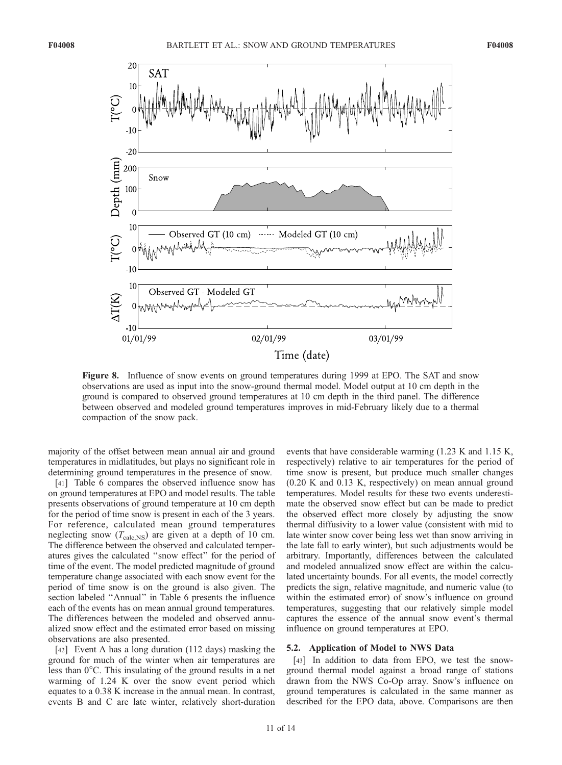

Figure 8. Influence of snow events on ground temperatures during 1999 at EPO. The SAT and snow observations are used as input into the snow-ground thermal model. Model output at 10 cm depth in the ground is compared to observed ground temperatures at 10 cm depth in the third panel. The difference between observed and modeled ground temperatures improves in mid-February likely due to a thermal compaction of the snow pack.

majority of the offset between mean annual air and ground temperatures in midlatitudes, but plays no significant role in determining ground temperatures in the presence of snow.

[41] Table 6 compares the observed influence snow has on ground temperatures at EPO and model results. The table presents observations of ground temperature at 10 cm depth for the period of time snow is present in each of the 3 years. For reference, calculated mean ground temperatures neglecting snow  $(T_{\text{calc,NS}})$  are given at a depth of 10 cm. The difference between the observed and calculated temperatures gives the calculated ''snow effect'' for the period of time of the event. The model predicted magnitude of ground temperature change associated with each snow event for the period of time snow is on the ground is also given. The section labeled ''Annual'' in Table 6 presents the influence each of the events has on mean annual ground temperatures. The differences between the modeled and observed annualized snow effect and the estimated error based on missing observations are also presented.

[42] Event A has a long duration (112 days) masking the ground for much of the winter when air temperatures are less than  $0^{\circ}$ C. This insulating of the ground results in a net warming of 1.24 K over the snow event period which equates to a 0.38 K increase in the annual mean. In contrast, events B and C are late winter, relatively short-duration

events that have considerable warming (1.23 K and 1.15 K, respectively) relative to air temperatures for the period of time snow is present, but produce much smaller changes (0.20 K and 0.13 K, respectively) on mean annual ground temperatures. Model results for these two events underestimate the observed snow effect but can be made to predict the observed effect more closely by adjusting the snow thermal diffusivity to a lower value (consistent with mid to late winter snow cover being less wet than snow arriving in the late fall to early winter), but such adjustments would be arbitrary. Importantly, differences between the calculated and modeled annualized snow effect are within the calculated uncertainty bounds. For all events, the model correctly predicts the sign, relative magnitude, and numeric value (to within the estimated error) of snow's influence on ground temperatures, suggesting that our relatively simple model captures the essence of the annual snow event's thermal influence on ground temperatures at EPO.

## 5.2. Application of Model to NWS Data

[43] In addition to data from EPO, we test the snowground thermal model against a broad range of stations drawn from the NWS Co-Op array. Snow's influence on ground temperatures is calculated in the same manner as described for the EPO data, above. Comparisons are then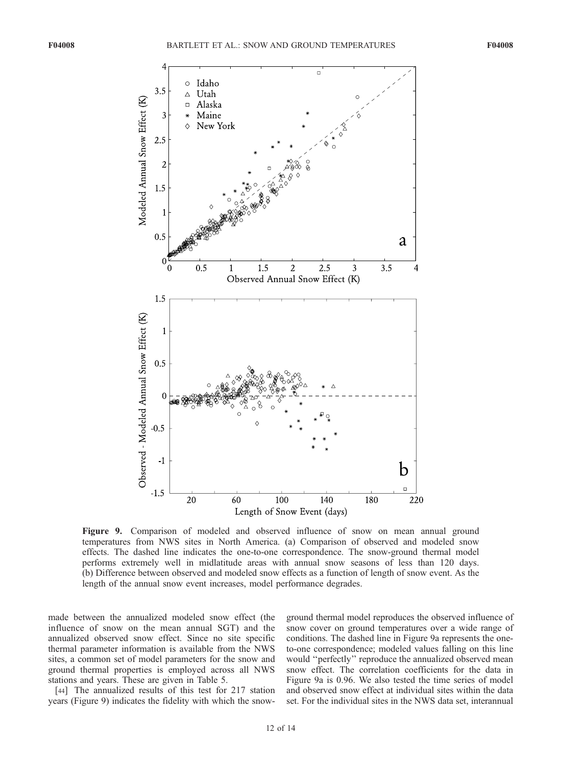

Figure 9. Comparison of modeled and observed influence of snow on mean annual ground temperatures from NWS sites in North America. (a) Comparison of observed and modeled snow effects. The dashed line indicates the one-to-one correspondence. The snow-ground thermal model performs extremely well in midlatitude areas with annual snow seasons of less than 120 days. (b) Difference between observed and modeled snow effects as a function of length of snow event. As the length of the annual snow event increases, model performance degrades.

made between the annualized modeled snow effect (the influence of snow on the mean annual SGT) and the annualized observed snow effect. Since no site specific thermal parameter information is available from the NWS sites, a common set of model parameters for the snow and ground thermal properties is employed across all NWS stations and years. These are given in Table 5.

[44] The annualized results of this test for 217 station years (Figure 9) indicates the fidelity with which the snowground thermal model reproduces the observed influence of snow cover on ground temperatures over a wide range of conditions. The dashed line in Figure 9a represents the oneto-one correspondence; modeled values falling on this line would ''perfectly'' reproduce the annualized observed mean snow effect. The correlation coefficients for the data in Figure 9a is 0.96. We also tested the time series of model and observed snow effect at individual sites within the data set. For the individual sites in the NWS data set, interannual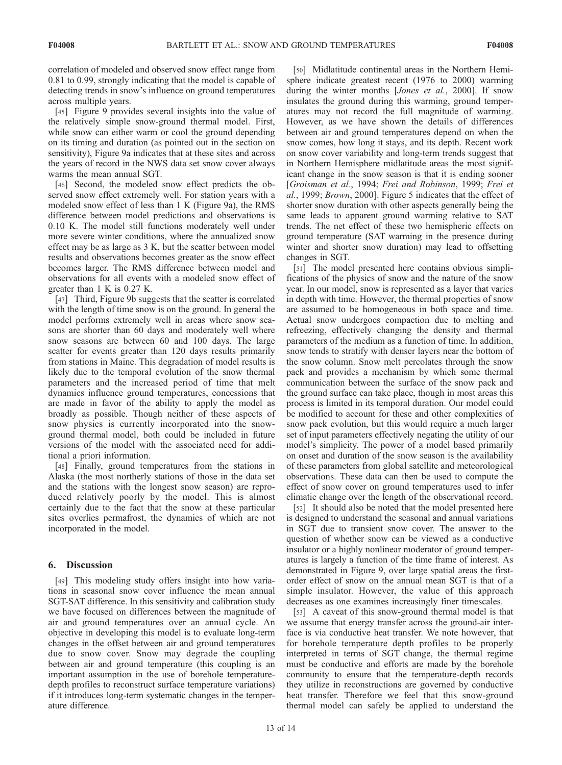correlation of modeled and observed snow effect range from 0.81 to 0.99, strongly indicating that the model is capable of detecting trends in snow's influence on ground temperatures across multiple years.

[45] Figure 9 provides several insights into the value of the relatively simple snow-ground thermal model. First, while snow can either warm or cool the ground depending on its timing and duration (as pointed out in the section on sensitivity), Figure 9a indicates that at these sites and across the years of record in the NWS data set snow cover always warms the mean annual SGT.

[46] Second, the modeled snow effect predicts the observed snow effect extremely well. For station years with a modeled snow effect of less than 1 K (Figure 9a), the RMS difference between model predictions and observations is 0.10 K. The model still functions moderately well under more severe winter conditions, where the annualized snow effect may be as large as 3 K, but the scatter between model results and observations becomes greater as the snow effect becomes larger. The RMS difference between model and observations for all events with a modeled snow effect of greater than 1 K is 0.27 K.

[47] Third, Figure 9b suggests that the scatter is correlated with the length of time snow is on the ground. In general the model performs extremely well in areas where snow seasons are shorter than 60 days and moderately well where snow seasons are between 60 and 100 days. The large scatter for events greater than 120 days results primarily from stations in Maine. This degradation of model results is likely due to the temporal evolution of the snow thermal parameters and the increased period of time that melt dynamics influence ground temperatures, concessions that are made in favor of the ability to apply the model as broadly as possible. Though neither of these aspects of snow physics is currently incorporated into the snowground thermal model, both could be included in future versions of the model with the associated need for additional a priori information.

[48] Finally, ground temperatures from the stations in Alaska (the most northerly stations of those in the data set and the stations with the longest snow season) are reproduced relatively poorly by the model. This is almost certainly due to the fact that the snow at these particular sites overlies permafrost, the dynamics of which are not incorporated in the model.

#### 6. Discussion

[49] This modeling study offers insight into how variations in seasonal snow cover influence the mean annual SGT-SAT difference. In this sensitivity and calibration study we have focused on differences between the magnitude of air and ground temperatures over an annual cycle. An objective in developing this model is to evaluate long-term changes in the offset between air and ground temperatures due to snow cover. Snow may degrade the coupling between air and ground temperature (this coupling is an important assumption in the use of borehole temperaturedepth profiles to reconstruct surface temperature variations) if it introduces long-term systematic changes in the temperature difference.

[50] Midlatitude continental areas in the Northern Hemisphere indicate greatest recent (1976 to 2000) warming during the winter months [Jones et al., 2000]. If snow insulates the ground during this warming, ground temperatures may not record the full magnitude of warming. However, as we have shown the details of differences between air and ground temperatures depend on when the snow comes, how long it stays, and its depth. Recent work on snow cover variability and long-term trends suggest that in Northern Hemisphere midlatitude areas the most significant change in the snow season is that it is ending sooner [Groisman et al., 1994; Frei and Robinson, 1999; Frei et al., 1999; Brown, 2000]. Figure 5 indicates that the effect of shorter snow duration with other aspects generally being the same leads to apparent ground warming relative to SAT trends. The net effect of these two hemispheric effects on ground temperature (SAT warming in the presence during winter and shorter snow duration) may lead to offsetting changes in SGT.

[51] The model presented here contains obvious simplifications of the physics of snow and the nature of the snow year. In our model, snow is represented as a layer that varies in depth with time. However, the thermal properties of snow are assumed to be homogeneous in both space and time. Actual snow undergoes compaction due to melting and refreezing, effectively changing the density and thermal parameters of the medium as a function of time. In addition, snow tends to stratify with denser layers near the bottom of the snow column. Snow melt percolates through the snow pack and provides a mechanism by which some thermal communication between the surface of the snow pack and the ground surface can take place, though in most areas this process is limited in its temporal duration. Our model could be modified to account for these and other complexities of snow pack evolution, but this would require a much larger set of input parameters effectively negating the utility of our model's simplicity. The power of a model based primarily on onset and duration of the snow season is the availability of these parameters from global satellite and meteorological observations. These data can then be used to compute the effect of snow cover on ground temperatures used to infer climatic change over the length of the observational record.

[52] It should also be noted that the model presented here is designed to understand the seasonal and annual variations in SGT due to transient snow cover. The answer to the question of whether snow can be viewed as a conductive insulator or a highly nonlinear moderator of ground temperatures is largely a function of the time frame of interest. As demonstrated in Figure 9, over large spatial areas the firstorder effect of snow on the annual mean SGT is that of a simple insulator. However, the value of this approach decreases as one examines increasingly finer timescales.

[53] A caveat of this snow-ground thermal model is that we assume that energy transfer across the ground-air interface is via conductive heat transfer. We note however, that for borehole temperature depth profiles to be properly interpreted in terms of SGT change, the thermal regime must be conductive and efforts are made by the borehole community to ensure that the temperature-depth records they utilize in reconstructions are governed by conductive heat transfer. Therefore we feel that this snow-ground thermal model can safely be applied to understand the